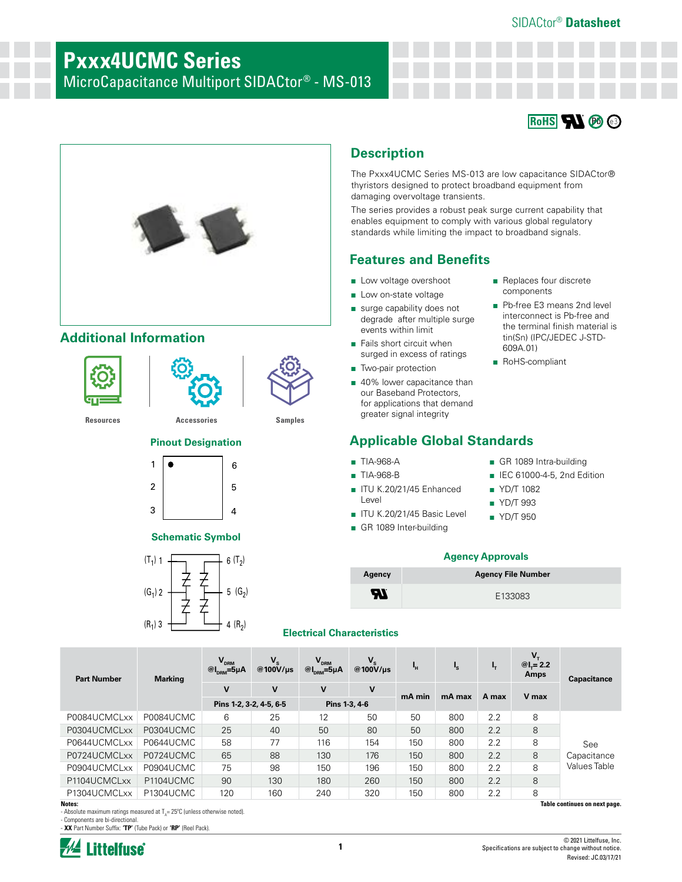# SIDACtor® **Datasheet**

# **Pxxx4UCMC Series**

MicroCapacitance Multiport SIDACtor® - MS-013





# **Additional Information**





# **Pinout Designation Applicable Global Standards**



### **Schematic Symbol**



# ■ TIA-968-A ■ TIA-968-B

- ITU K.20/21/45 Enhanced Level
- ITU K.20/21/45 Basic Level
- GR 1089 Inter-building
- Replaces four discrete components
- Pb-free E3 means 2nd level interconnect is Pb-free and the terminal finish material is tin(Sn) (IPC/JEDEC J-STD-609A.01)
- RoHS-compliant
- GR 1089 Intra-building
- IEC 61000-4-5, 2nd Edition
- YD/T 1082
- YD/T 993
- YD/T 950

## **Agency Approvals**

The Pxxx4UCMC Series MS-013 are low capacitance SIDACtor® thyristors designed to protect broadband equipment from

The series provides a robust peak surge current capability that enables equipment to comply with various global regulatory standards while limiting the impact to broadband signals.

damaging overvoltage transients.

**Features and Benefits**

■ Low voltage overshoot ■ Low on-state voltage ■ surge capability does not degrade after multiple surge

events within limit ■ Fails short circuit when surged in excess of ratings

■ Two-pair protection

■ 40% lower capacitance than our Baseband Protectors, for applications that demand greater signal integrity

**Description**

| Agency    | <b>Agency File Number</b> |
|-----------|---------------------------|
| <b>Al</b> | E133083                   |

## **Electrical Characteristics**

| <b>Part Number</b> | <b>Marking</b>         | $V_{DRM}$<br><sup><i>@</i></sup> I <sub>DRM</sub> = 5μA | $V_{s}$<br>@100 $V/\mu s$ | $V_{DRM}$<br>$@I_{\text{new}}=5\mu A$ | $V_{\rm s}$<br>@100 $V/\mu s$ | Ч.     | $I_{\rm s}$ | ı,    | $@L = 2.2$<br>Amps | <b>Capacitance</b>           |
|--------------------|------------------------|---------------------------------------------------------|---------------------------|---------------------------------------|-------------------------------|--------|-------------|-------|--------------------|------------------------------|
|                    |                        | $\mathsf{v}$<br>Pins 1-2, 3-2, 4-5, 6-5                 | $\mathbf v$               | $\mathbf{V}$<br>Pins 1-3, 4-6         | $\mathsf{v}$                  | mA min | mA max      | A max | V max              |                              |
| P0084UCMCLxx       | P0084UCMC              |                                                         |                           |                                       |                               |        |             |       |                    |                              |
|                    |                        | 6                                                       | 25                        | 12                                    | 50                            | 50     | 800         | 2.2   | 8                  |                              |
| P0304UCMCLxx       | P0304UCMC              | 25                                                      | 40                        | 50                                    | 80                            | 50     | 800         | 2.2   | 8                  |                              |
| P0644UCMCLxx       | P0644UCMC              | 58                                                      | 77                        | 116                                   | 154                           | 150    | 800         | 2.2   | 8                  | See                          |
| P0724UCMCLxx       | P0724UCMC              | 65                                                      | 88                        | 130                                   | 176                           | 150    | 800         | 2.2   | 8                  | Capacitance                  |
| P0904UCMCLxx       | P0904UCMC              | 75                                                      | 98                        | 150                                   | 196                           | 150    | 800         | 2.2   | 8                  | Values Table                 |
| P1104UCMCLxx       | P <sub>1104</sub> UCMC | 90                                                      | 130                       | 180                                   | 260                           | 150    | 800         | 2.2   | 8                  |                              |
| P1304UCMCLxx       | P1304UCMC              | 120                                                     | 160                       | 240                                   | 320                           | 150    | 800         | 2.2   | 8                  |                              |
| Notes:             |                        |                                                         |                           |                                       |                               |        |             |       |                    | Table continues on next page |

**Notes:** 

- Absolute maximum ratings measured at  $T_A = 25^{\circ}$ C (unless otherwise noted).

- Components are bi-directional. - **XX** Part Number Suffix: **'TP'** (Tube Pack) or **'RP'** (Reel Pack).



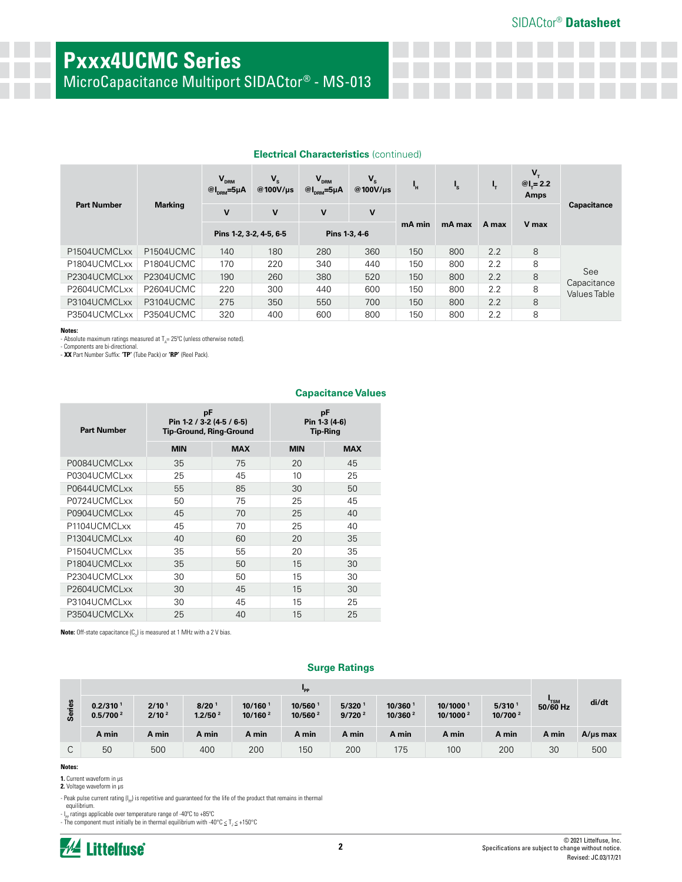# **Pxxx4UCMC Series**

MicroCapacitance Multiport SIDACtor® - MS-013

| <b>Part Number</b> | <b>Marking</b>         | $V_{DRM}$<br>$@I_{\text{DRM}}=5\mu A$    | V <sub>s</sub><br>@100V/µs | $V_{DRM}$<br>$@I_{\text{DRM}}=5\mu A$ | $V_{s}$<br>@100V/us | ٠н     | $\mathbf{I}_\mathbf{S}$ | ч,    | $V_{\tau}$<br>$@L = 2.2$<br>Amps | <b>Capacitance</b>                 |
|--------------------|------------------------|------------------------------------------|----------------------------|---------------------------------------|---------------------|--------|-------------------------|-------|----------------------------------|------------------------------------|
|                    |                        | v                                        | v                          | v                                     | v                   |        |                         |       |                                  |                                    |
|                    |                        | Pins 1-2, 3-2, 4-5, 6-5<br>Pins 1-3, 4-6 |                            |                                       | mA min              | mA max | A max                   | V max |                                  |                                    |
| P1504UCMCLxx       | P <sub>1504</sub> UCMC | 140                                      | 180                        | 280                                   | 360                 | 150    | 800                     | 2.2   | 8                                |                                    |
| P1804UCMCLxx       | P1804UCMC              | 170                                      | 220                        | 340                                   | 440                 | 150    | 800                     | 2.2   | 8                                |                                    |
| P2304UCMCLxx       | P2304UCMC              | 190                                      | 260                        | 380                                   | 520                 | 150    | 800                     | 2.2   | 8                                | See                                |
| P2604UCMCLxx       | P2604UCMC              | 220                                      | 300                        | 440                                   | 600                 | 150    | 800                     | 2.2   | 8                                | Capacitance<br><b>Values Table</b> |
| P3104UCMCLxx       | P3104UCMC              | 275                                      | 350                        | 550                                   | 700                 | 150    | 800                     | 2.2   | 8                                |                                    |
| P3504UCMCLxx       | P3504UCMC              | 320                                      | 400                        | 600                                   | 800                 | 150    | 800                     | 2.2   | 8                                |                                    |

**Capacitance Values**

## **Electrical Characteristics** (continued)

**Notes:** 

- Absolute maximum ratings measured at  $T_A = 25^{\circ}$ C (unless otherwise noted).

- Components are bi-directional. - **XX** Part Number Suffix: **'TP'** (Tube Pack) or **'RP'** (Reel Pack).

| <b>Part Number</b>                    | pF<br>Pin 1-2 / 3-2 (4-5 / 6-5)<br><b>Tip-Ground, Ring-Ground</b> |            | рF<br>Pin 1-3 (4-6)<br>Tip-Ring |            |  |
|---------------------------------------|-------------------------------------------------------------------|------------|---------------------------------|------------|--|
|                                       | <b>MIN</b>                                                        | <b>MAX</b> | <b>MIN</b>                      | <b>MAX</b> |  |
| P0084UCMCLxx                          | 35                                                                | 75         | 20                              | 45         |  |
| P0304UCMCLxx                          | 25                                                                | 45         | 10                              | 25         |  |
| P0644UCMCLxx                          | 55                                                                | 85         | 30                              | 50         |  |
| P0724UCMCLxx                          | 50                                                                | 75         | 25                              | 45         |  |
| P0904UCMCLxx                          | 45                                                                | 70         | 25                              | 40         |  |
| P1104UCMCLxx                          | 45                                                                | 70         | 25                              | 40         |  |
| P1304UCMCLxx                          | 40                                                                | 60         | 20                              | 35         |  |
| P <sub>1504</sub> UCMCL <sub>xx</sub> | 35                                                                | 55         | 20                              | 35         |  |
| P1804UCMCLxx                          | 35                                                                | 50         | 15                              | 30         |  |
| P2304UCMCLxx                          | 30                                                                | 50         | 15                              | 30         |  |
| P2604UCMCLxx                          | 30                                                                | 45         | 15                              | 30         |  |
| P3104UCMCLxx                          | 30                                                                | 45         | 15                              | 25         |  |
| P3504UCMCLXx                          | 25                                                                | 40         | 15                              | 25         |  |

**Note:** Off-state capacitance (C<sub>0</sub>) is measured at 1 MHz with a 2 V bias.

### **Surge Ratings**

|           |                                              | "PP                                    |                                          |                                |                               |                                            |                                 |                                              |                                           |            |               |
|-----------|----------------------------------------------|----------------------------------------|------------------------------------------|--------------------------------|-------------------------------|--------------------------------------------|---------------------------------|----------------------------------------------|-------------------------------------------|------------|---------------|
| ries<br>Ø | 0.2/310 <sup>1</sup><br>0.5/700 <sup>2</sup> | 2/10 <sup>1</sup><br>2/10 <sup>2</sup> | 8/20 <sup>1</sup><br>1.2/50 <sup>2</sup> | 10/1601<br>10/160 <sup>2</sup> | 10/560<br>10/560 <sup>2</sup> | $5/320$ <sup>1</sup><br>9/720 <sup>2</sup> | 10/360 1<br>10/360 <sup>2</sup> | 10/1000 <sup>1</sup><br>10/1000 <sup>2</sup> | 5/310 <sup>1</sup><br>10/700 <sup>2</sup> | $50/60$ Hz | di/dt         |
|           | A min                                        | A min                                  | A min                                    | A min                          | A min                         | A min                                      | A min                           | A min                                        | A min                                     | A min      | $A/\mu s$ max |
| ⌒<br>◡    | 50                                           | 500                                    | 400                                      | 200                            | 150                           | 200                                        | 175                             | 100                                          | 200                                       | 30         | 500           |

### **Notes:**

**1.** Current waveform in µs

**2.** Voltage waveform in µs

- Peak pulse current rating ( $I_{pp}$ ) is repetitive and guaranteed for the life of the product that remains in thermal

equilibrium.  $\cdot$  I<sub>PP</sub> ratings applicable over temperature range of -40°C to +85°C

- The component must initially be in thermal equilibrium with -40°C  $\leq T_J \leq +150$ °C

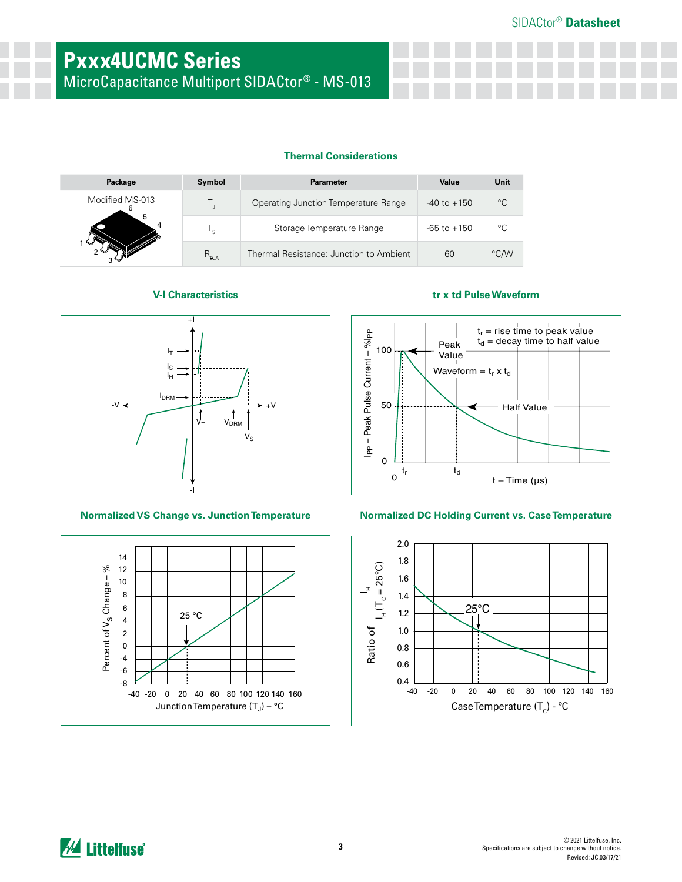MicroCapacitance Multiport SIDACtor® - MS-013

# **Thermal Considerations**

| Package         | Symbol         | <b>Parameter</b>                        | Value           | Unit        |
|-----------------|----------------|-----------------------------------------|-----------------|-------------|
| Modified MS-013 |                | Operating Junction Temperature Range    | $-40$ to $+150$ | $^{\circ}C$ |
| 5               | " ב            | Storage Temperature Range               | $-65$ to $+150$ | °C          |
|                 | $R_{\theta$ JA | Thermal Resistance: Junction to Ambient | 60              | °C/W        |





# **V-I Characteristics tr x td Pulse Waveform**



## **Normalized VS Change vs. Junction Temperature Normalized DC Holding Current vs. Case Temperature**

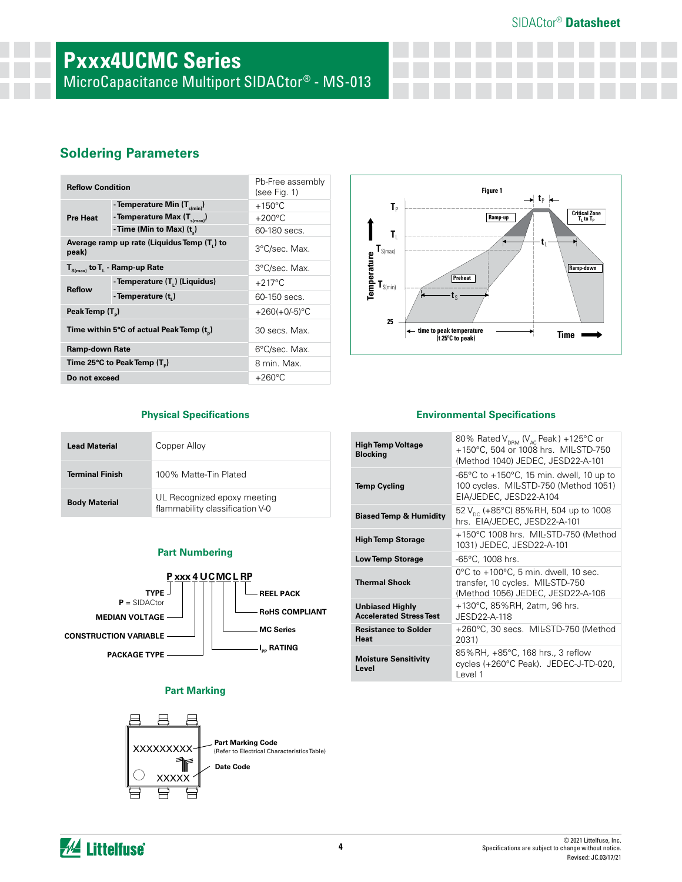# SIDACtor® **Datasheet**

# **Pxxx4UCMC Series**

MicroCapacitance Multiport SIDACtor® - MS-013

# **Soldering Parameters**

| <b>Reflow Condition</b>                                                             |                                                       | Pb-Free assembly<br>(see Fig. 1) |
|-------------------------------------------------------------------------------------|-------------------------------------------------------|----------------------------------|
|                                                                                     | - Temperature Min $(T_{\text{s/min}})$                | $+150^{\circ}$ C                 |
| <b>Pre Heat</b>                                                                     | - Temperature Max (T <sub>s(max)</sub> )              | $+200^{\circ}$ C                 |
|                                                                                     | - Time (Min to Max) (t)                               | 60-180 secs.                     |
| Average ramp up rate (Liquidus Temp (T,) to<br>peak)                                |                                                       | 3°C/sec. Max.                    |
| $\mathbf{T}_{\mathsf{S}(\mathsf{max})}$ to $\mathbf{T}_{\mathsf{L}}$ - Ramp-up Rate |                                                       | 3°C/sec. Max.                    |
|                                                                                     | - Temperature (T.) (Liquidus)                         | $+217^{\circ}$ C                 |
| <b>Reflow</b>                                                                       | - Temperature (t.)                                    | 60-150 secs.                     |
| Peak Temp (T <sub>a</sub> )                                                         |                                                       | +260(+0/-5) $°C$                 |
|                                                                                     | Time within 5°C of actual Peak Temp (t <sub>n</sub> ) | 30 secs. Max.                    |
| Ramp-down Rate                                                                      |                                                       | 6°C/sec. Max.                    |
| Time 25°C to Peak Temp (T <sub>a</sub> )                                            |                                                       | 8 min. Max.                      |
| Do not exceed                                                                       |                                                       | $+260^{\circ}$ C                 |



| <b>Lead Material</b>   | Copper Alloy                                                   |
|------------------------|----------------------------------------------------------------|
| <b>Terminal Finish</b> | 100% Matte-Tin Plated                                          |
| <b>Body Material</b>   | UL Recognized epoxy meeting<br>flammability classification V-0 |

# **Part Numbering**



## **Part Marking**



## **Physical Specifications Environmental Specifications**

| <b>High Temp Voltage</b><br><b>Blocking</b>              | 80% Rated $V_{DRM}$ (V <sub>AC</sub> Peak) +125°C or<br>+150°C, 504 or 1008 hrs. MIL-STD-750<br>(Method 1040) JEDEC, JESD22-A-101  |
|----------------------------------------------------------|------------------------------------------------------------------------------------------------------------------------------------|
| <b>Temp Cycling</b>                                      | -65 $\degree$ C to +150 $\degree$ C, 15 min. dwell, 10 up to<br>100 cycles. MIL-STD-750 (Method 1051)<br>EIA/JEDEC, JESD22-A104    |
| <b>Biased Temp &amp; Humidity</b>                        | 52 $V_{\text{nc}}$ (+85°C) 85%RH, 504 up to 1008<br>hrs. EIA/JEDEC, JESD22-A-101                                                   |
| <b>High Temp Storage</b>                                 | +150°C 1008 hrs. MIL-STD-750 (Method<br>1031) JEDEC, JESD22-A-101                                                                  |
| <b>Low Temp Storage</b>                                  | -65°C, 1008 hrs.                                                                                                                   |
| <b>Thermal Shock</b>                                     | $0^{\circ}$ C to +100 $^{\circ}$ C, 5 min. dwell, 10 sec.<br>transfer, 10 cycles. MIL-STD-750<br>(Method 1056) JEDEC, JESD22-A-106 |
| <b>Unbiased Highly</b><br><b>Accelerated Stress Test</b> | +130°C, 85%RH, 2atm, 96 hrs.<br>JESD22-A-118                                                                                       |
| <b>Resistance to Solder</b><br>Heat                      | +260°C, 30 secs. MIL-STD-750 (Method<br>2031)                                                                                      |
| <b>Moisture Sensitivity</b><br>Level                     | 85%RH, +85°C, 168 hrs., 3 reflow<br>cycles (+260°C Peak). JEDEC-J-TD-020,<br>Level 1                                               |